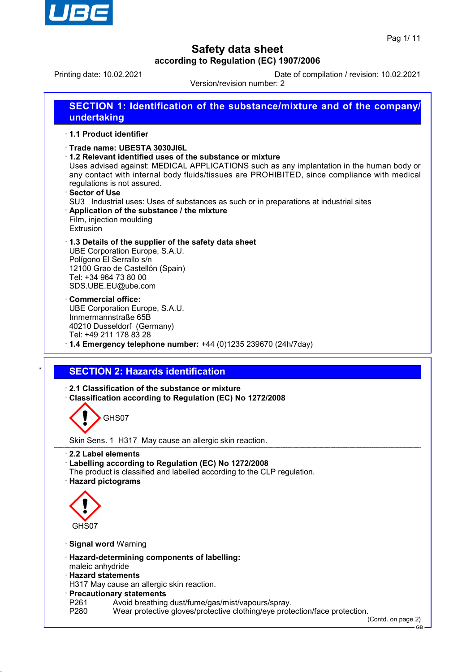

Printing date: 10.02.2021 Date of compilation / revision: 10.02.2021 Version/revision number: 2

**SECTION 1: Identification of the substance/mixture and of the company/ undertaking** · **1.1 Product identifier**

- · **Trade name: UBESTA 3030JI6L**
- · **1.2 Relevant identified uses of the substance or mixture**

Uses advised against: MEDICAL APPLICATIONS such as any implantation in the human body or any contact with internal body fluids/tissues are PROHIBITED, since compliance with medical regulations is not assured.

- · **Sector of Use**
- SU3 Industrial uses: Uses of substances as such or in preparations at industrial sites
- · **Application of the substance / the mixture** Film, injection moulding
- Extrusion

· **1.3 Details of the supplier of the safety data sheet** UBE Corporation Europe, S.A.U. Polígono El Serrallo s/n 12100 Grao de Castellón (Spain) Tel: +34 964 73 80 00 SDS.UBE.EU@ube.com

· **Commercial office:** UBE Corporation Europe, S.A.U. Immermannstraße 65B 40210 Dusseldorf (Germany) Tel: +49 211 178 83 28

· **1.4 Emergency telephone number:** +44 (0)1235 239670 (24h/7day)

## **SECTION 2: Hazards identification**

· **2.1 Classification of the substance or mixture**

· **Classification according to Regulation (EC) No 1272/2008**

GHS07

Skin Sens. 1 H317 May cause an allergic skin reaction.

- · **2.2 Label elements**
- · **Labelling according to Regulation (EC) No 1272/2008**
- The product is classified and labelled according to the CLP regulation.
- · **Hazard pictograms**



- · **Signal word** Warning
- · **Hazard-determining components of labelling:**
- maleic anhydride
- · **Hazard statements**

H317 May cause an allergic skin reaction.

- · **Precautionary statements**
- P261 Avoid breathing dust/fume/gas/mist/vapours/spray.<br>P280 Wear protective gloves/protective clothing/eve prote
- Wear protective gloves/protective clothing/eye protection/face protection.

(Contd. on page 2) GB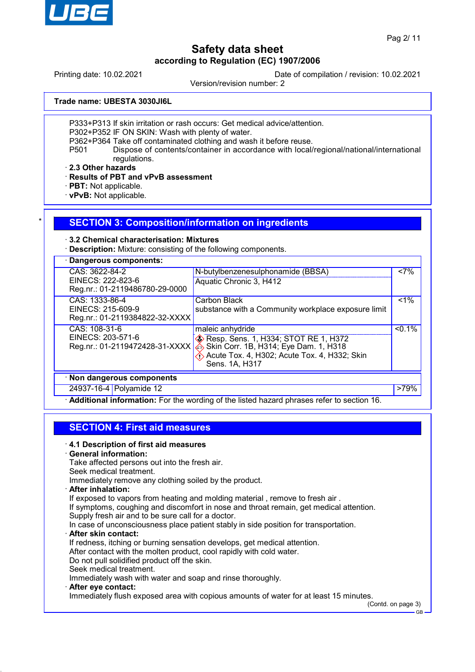

Printing date: 10.02.2021 Date of compilation / revision: 10.02.2021

Version/revision number: 2

**Trade name: UBESTA 3030JI6L**

P333+P313 If skin irritation or rash occurs: Get medical advice/attention.

P302+P352 IF ON SKIN: Wash with plenty of water.

P362+P364 Take off contaminated clothing and wash it before reuse.

P501 Dispose of contents/container in accordance with local/regional/national/international regulations.

· **2.3 Other hazards**

· **Results of PBT and vPvB assessment**

· **PBT:** Not applicable.

· **vPvB:** Not applicable.

### **SECTION 3: Composition/information on ingredients**

### · **3.2 Chemical characterisation: Mixtures**

· **Description:** Mixture: consisting of the following components.

| · Dangerous components:                                               |                                                                                                                                                                          |           |
|-----------------------------------------------------------------------|--------------------------------------------------------------------------------------------------------------------------------------------------------------------------|-----------|
| CAS: 3622-84-2<br>EINECS: 222-823-6<br>Reg.nr.: 01-2119486780-29-0000 | N-butylbenzenesulphonamide (BBSA)<br>Aquatic Chronic 3, H412                                                                                                             | <7%       |
| CAS: 1333-86-4<br>EINECS: 215-609-9<br>Reg.nr.: 01-2119384822-32-XXXX | Carbon Black<br>substance with a Community workplace exposure limit                                                                                                      | $1\%$     |
| CAS: 108-31-6<br>EINECS: 203-571-6<br>Reg.nr.: 01-2119472428-31-XXXX  | maleic anhydride<br>Resp. Sens. 1, H334; STOT RE 1, H372<br>Skin Corr. 1B, H314; Eye Dam. 1, H318<br>△<br>Acute Tox. 4, H302; Acute Tox. 4, H332; Skin<br>Sens. 1A, H317 | $< 0.1\%$ |
| · Non dangerous components                                            |                                                                                                                                                                          |           |
| 24937-16-4 Polyamide 12                                               |                                                                                                                                                                          | >79%      |
|                                                                       | Additional information: For the wording of the listed hazard phrases refer to section 16.                                                                                |           |

# **SECTION 4: First aid measures**

### · **4.1 Description of first aid measures**

### · **General information:**

Take affected persons out into the fresh air.

Seek medical treatment.

Immediately remove any clothing soiled by the product.

· **After inhalation:**

If exposed to vapors from heating and molding material , remove to fresh air .

If symptoms, coughing and discomfort in nose and throat remain, get medical attention.

Supply fresh air and to be sure call for a doctor.

In case of unconsciousness place patient stably in side position for transportation.

· **After skin contact:**

If redness, itching or burning sensation develops, get medical attention.

After contact with the molten product, cool rapidly with cold water.

Do not pull solidified product off the skin.

- Seek medical treatment.
- Immediately wash with water and soap and rinse thoroughly.
- · **After eye contact:**

Immediately flush exposed area with copious amounts of water for at least 15 minutes.

(Contd. on page 3)

GB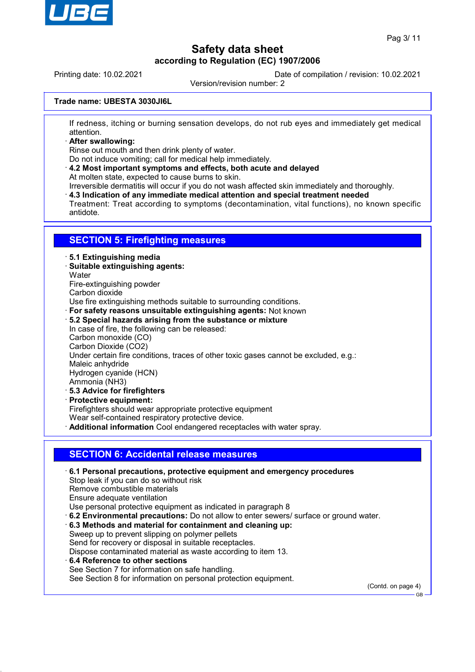

Printing date: 10.02.2021 Date of compilation / revision: 10.02.2021

Version/revision number: 2

### **Trade name: UBESTA 3030JI6L**

If redness, itching or burning sensation develops, do not rub eyes and immediately get medical attention.

· **After swallowing:**

Rinse out mouth and then drink plenty of water.

Do not induce vomiting; call for medical help immediately.

· **4.2 Most important symptoms and effects, both acute and delayed** At molten state, expected to cause burns to skin.

Irreversible dermatitis will occur if you do not wash affected skin immediately and thoroughly.

· **4.3 Indication of any immediate medical attention and special treatment needed**

Treatment: Treat according to symptoms (decontamination, vital functions), no known specific antidote.

## **SECTION 5: Firefighting measures**

#### · **5.1 Extinguishing media**

- · **Suitable extinguishing agents:**
- **Water**
- Fire-extinguishing powder
- Carbon dioxide

Use fire extinguishing methods suitable to surrounding conditions.

- · **For safety reasons unsuitable extinguishing agents:** Not known
- · **5.2 Special hazards arising from the substance or mixture**
- In case of fire, the following can be released: Carbon monoxide (CO) Carbon Dioxide (CO2) Under certain fire conditions, traces of other toxic gases cannot be excluded, e.g.: Maleic anhydride Hydrogen cyanide (HCN) Ammonia (NH3) · **5.3 Advice for firefighters** · **Protective equipment:**
- Firefighters should wear appropriate protective equipment

Wear self-contained respiratory protective device.

· **Additional information** Cool endangered receptacles with water spray.

### **SECTION 6: Accidental release measures**

- · **6.1 Personal precautions, protective equipment and emergency procedures** Stop leak if you can do so without risk Remove combustible materials Ensure adequate ventilation Use personal protective equipment as indicated in paragraph 8 · **6.2 Environmental precautions:** Do not allow to enter sewers/ surface or ground water. · **6.3 Methods and material for containment and cleaning up:**
- Sweep up to prevent slipping on polymer pellets Send for recovery or disposal in suitable receptacles. Dispose contaminated material as waste according to item 13.
- · **6.4 Reference to other sections** See Section 7 for information on safe handling. See Section 8 for information on personal protection equipment.

(Contd. on page 4)

GB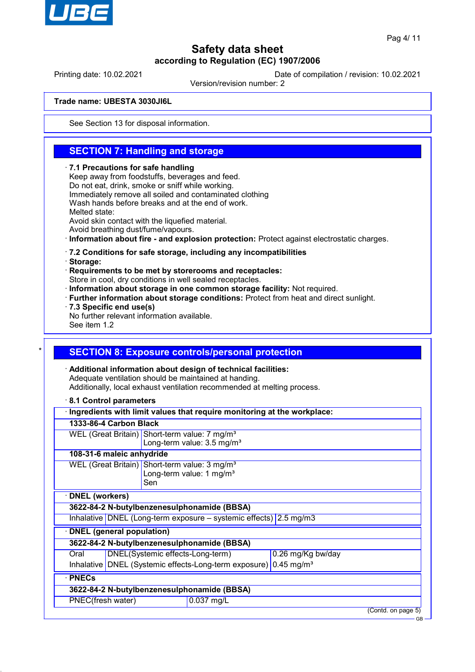

Printing date: 10.02.2021 Date of compilation / revision: 10.02.2021

Version/revision number: 2

### **Trade name: UBESTA 3030JI6L**

See Section 13 for disposal information.

## **SECTION 7: Handling and storage**

#### · **7.1 Precautions for safe handling**

Keep away from foodstuffs, beverages and feed. Do not eat, drink, smoke or sniff while working. Immediately remove all soiled and contaminated clothing Wash hands before breaks and at the end of work. Melted state: Avoid skin contact with the liquefied material. Avoid breathing dust/fume/vapours.

· **Information about fire - and explosion protection:** Protect against electrostatic charges.

#### · **7.2 Conditions for safe storage, including any incompatibilities**

· **Storage:**

· **Requirements to be met by storerooms and receptacles:**

Store in cool, dry conditions in well sealed receptacles.

- · **Information about storage in one common storage facility:** Not required.
- · **Further information about storage conditions:** Protect from heat and direct sunlight.
- · **7.3 Specific end use(s)**

No further relevant information available.

See item 1.2

## **SECTION 8: Exposure controls/personal protection**

· **Additional information about design of technical facilities:** Adequate ventilation should be maintained at handing. Additionally, local exhaust ventilation recommended at melting process.

· **8.1 Control parameters**

|                                  |                                                                              |                                      | Ingredients with limit values that require monitoring at the workplace: |                   |                    |
|----------------------------------|------------------------------------------------------------------------------|--------------------------------------|-------------------------------------------------------------------------|-------------------|--------------------|
| 1333-86-4 Carbon Black           |                                                                              |                                      |                                                                         |                   |                    |
|                                  |                                                                              |                                      | WEL (Great Britain) Short-term value: 7 mg/m <sup>3</sup>               |                   |                    |
|                                  |                                                                              |                                      | Long-term value: 3.5 mg/m <sup>3</sup>                                  |                   |                    |
| 108-31-6 maleic anhydride        |                                                                              |                                      |                                                                         |                   |                    |
|                                  |                                                                              |                                      | WEL (Great Britain) Short-term value: 3 mg/m <sup>3</sup>               |                   |                    |
|                                  |                                                                              | Long-term value: 1 mg/m <sup>3</sup> |                                                                         |                   |                    |
|                                  |                                                                              | Sen                                  |                                                                         |                   |                    |
| <b>DNEL</b> (workers)            |                                                                              |                                      |                                                                         |                   |                    |
|                                  |                                                                              |                                      | 3622-84-2 N-butylbenzenesulphonamide (BBSA)                             |                   |                    |
|                                  |                                                                              |                                      | Inhalative DNEL (Long-term exposure $-$ systemic effects) 2.5 mg/m3     |                   |                    |
| <b>DNEL</b> (general population) |                                                                              |                                      |                                                                         |                   |                    |
|                                  |                                                                              |                                      | 3622-84-2 N-butylbenzenesulphonamide (BBSA)                             |                   |                    |
| Oral                             |                                                                              | DNEL(Systemic effects-Long-term)     |                                                                         | 0.26 mg/Kg bw/day |                    |
|                                  | Inhalative DNEL (Systemic effects-Long-term exposure) 0.45 mg/m <sup>3</sup> |                                      |                                                                         |                   |                    |
| · PNECs                          |                                                                              |                                      |                                                                         |                   |                    |
|                                  |                                                                              |                                      | 3622-84-2 N-butylbenzenesulphonamide (BBSA)                             |                   |                    |
| PNEC(fresh water)                |                                                                              |                                      | 0.037 mg/L                                                              |                   |                    |
|                                  |                                                                              |                                      |                                                                         |                   | (Contd. on page 5) |
|                                  |                                                                              |                                      |                                                                         |                   | <b>GB</b>          |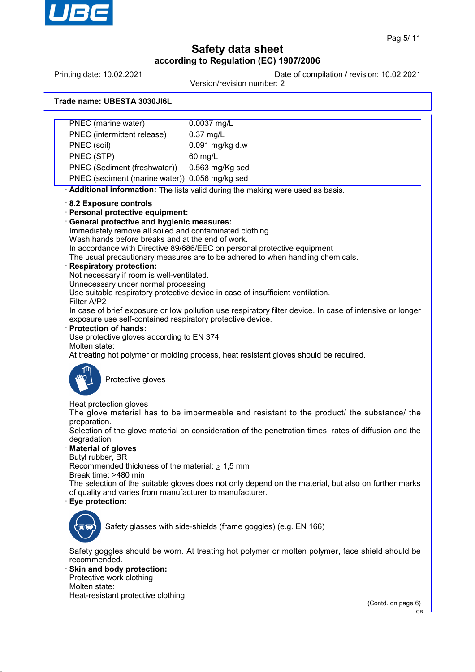

Printing date: 10.02.2021 Date of compilation / revision: 10.02.2021

Version/revision number: 2

| Trade name: UBESTA 3030JI6L |  |  |
|-----------------------------|--|--|
|-----------------------------|--|--|

| PNEC (marine water)                                                                                                                                                                                                                                                                                                                                                                                                                                                                                                 | 0.0037 mg/L                                                                                                                                                                                                                                                                                                                                                                                                                                        |
|---------------------------------------------------------------------------------------------------------------------------------------------------------------------------------------------------------------------------------------------------------------------------------------------------------------------------------------------------------------------------------------------------------------------------------------------------------------------------------------------------------------------|----------------------------------------------------------------------------------------------------------------------------------------------------------------------------------------------------------------------------------------------------------------------------------------------------------------------------------------------------------------------------------------------------------------------------------------------------|
| PNEC (intermittent release)                                                                                                                                                                                                                                                                                                                                                                                                                                                                                         | $0.37$ mg/L                                                                                                                                                                                                                                                                                                                                                                                                                                        |
| PNEC (soil)                                                                                                                                                                                                                                                                                                                                                                                                                                                                                                         | 0.091 mg/kg d.w                                                                                                                                                                                                                                                                                                                                                                                                                                    |
| PNEC (STP)                                                                                                                                                                                                                                                                                                                                                                                                                                                                                                          | 60 mg/L                                                                                                                                                                                                                                                                                                                                                                                                                                            |
| PNEC (Sediment (freshwater))                                                                                                                                                                                                                                                                                                                                                                                                                                                                                        | 0.563 mg/Kg sed                                                                                                                                                                                                                                                                                                                                                                                                                                    |
| PNEC (sediment (marine water)) 0.056 mg/kg sed                                                                                                                                                                                                                                                                                                                                                                                                                                                                      |                                                                                                                                                                                                                                                                                                                                                                                                                                                    |
|                                                                                                                                                                                                                                                                                                                                                                                                                                                                                                                     | Additional information: The lists valid during the making were used as basis.                                                                                                                                                                                                                                                                                                                                                                      |
| 8.2 Exposure controls<br>Personal protective equipment:<br>General protective and hygienic measures:<br>Immediately remove all soiled and contaminated clothing<br>Wash hands before breaks and at the end of work.<br><b>Respiratory protection:</b><br>Not necessary if room is well-ventilated.<br>Unnecessary under normal processing<br>Filter A/P2<br>exposure use self-contained respiratory protective device.<br><b>Protection of hands:</b><br>Use protective gloves according to EN 374<br>Molten state: | In accordance with Directive 89/686/EEC on personal protective equipment<br>The usual precautionary measures are to be adhered to when handling chemicals.<br>Use suitable respiratory protective device in case of insufficient ventilation.<br>In case of brief exposure or low pollution use respiratory filter device. In case of intensive or longer<br>At treating hot polymer or molding process, heat resistant gloves should be required. |
| Protective gloves                                                                                                                                                                                                                                                                                                                                                                                                                                                                                                   |                                                                                                                                                                                                                                                                                                                                                                                                                                                    |
| Heat protection gloves<br>preparation.                                                                                                                                                                                                                                                                                                                                                                                                                                                                              | The glove material has to be impermeable and resistant to the product/ the substance/ the                                                                                                                                                                                                                                                                                                                                                          |
| degradation<br><b>Material of gloves</b>                                                                                                                                                                                                                                                                                                                                                                                                                                                                            | Selection of the glove material on consideration of the penetration times, rates of diffusion and the                                                                                                                                                                                                                                                                                                                                              |
| Butyl rubber, BR<br>Recommended thickness of the material: $\geq 1.5$ mm<br>Break time: >480 min                                                                                                                                                                                                                                                                                                                                                                                                                    |                                                                                                                                                                                                                                                                                                                                                                                                                                                    |
| of quality and varies from manufacturer to manufacturer.<br>Eye protection:                                                                                                                                                                                                                                                                                                                                                                                                                                         | The selection of the suitable gloves does not only depend on the material, but also on further marks                                                                                                                                                                                                                                                                                                                                               |
|                                                                                                                                                                                                                                                                                                                                                                                                                                                                                                                     | Safety glasses with side-shields (frame goggles) (e.g. EN 166)                                                                                                                                                                                                                                                                                                                                                                                     |
| recommended.<br>Skin and body protection:                                                                                                                                                                                                                                                                                                                                                                                                                                                                           | Safety goggles should be worn. At treating hot polymer or molten polymer, face shield should be                                                                                                                                                                                                                                                                                                                                                    |
| Protective work clothing                                                                                                                                                                                                                                                                                                                                                                                                                                                                                            |                                                                                                                                                                                                                                                                                                                                                                                                                                                    |
| Molten state:                                                                                                                                                                                                                                                                                                                                                                                                                                                                                                       |                                                                                                                                                                                                                                                                                                                                                                                                                                                    |
| Heat-resistant protective clothing                                                                                                                                                                                                                                                                                                                                                                                                                                                                                  | (Contd. on page 6)                                                                                                                                                                                                                                                                                                                                                                                                                                 |
|                                                                                                                                                                                                                                                                                                                                                                                                                                                                                                                     | $GB -$                                                                                                                                                                                                                                                                                                                                                                                                                                             |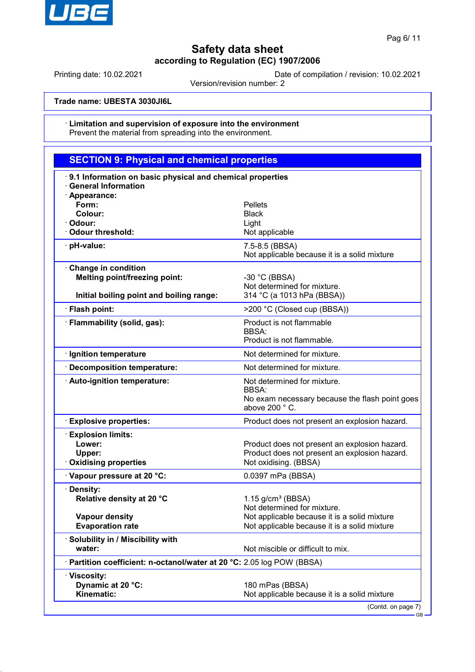

Printing date: 10.02.2021 Date of compilation / revision: 10.02.2021

Version/revision number: 2

**Trade name: UBESTA 3030JI6L**

#### · **Limitation and supervision of exposure into the environment** Prevent the material from spreading into the environment.

| <b>SECTION 9: Physical and chemical properties</b>                                                      |                                                                                                                         |  |  |  |
|---------------------------------------------------------------------------------------------------------|-------------------------------------------------------------------------------------------------------------------------|--|--|--|
| 9.1 Information on basic physical and chemical properties<br><b>General Information</b>                 |                                                                                                                         |  |  |  |
| · Appearance:<br>Form:<br>Colour:<br>· Odour:                                                           | Pellets<br><b>Black</b><br>Light                                                                                        |  |  |  |
| <b>Odour threshold:</b>                                                                                 | Not applicable                                                                                                          |  |  |  |
| · pH-value:                                                                                             | 7.5-8.5 (BBSA)<br>Not applicable because it is a solid mixture                                                          |  |  |  |
| Change in condition<br><b>Melting point/freezing point:</b><br>Initial boiling point and boiling range: | $-30$ °C (BBSA)<br>Not determined for mixture.<br>314 °C (a 1013 hPa (BBSA))                                            |  |  |  |
| · Flash point:                                                                                          | >200 °C (Closed cup (BBSA))                                                                                             |  |  |  |
| · Flammability (solid, gas):                                                                            | Product is not flammable<br><b>BBSA:</b><br>Product is not flammable.                                                   |  |  |  |
| · Ignition temperature                                                                                  | Not determined for mixture.                                                                                             |  |  |  |
| · Decomposition temperature:                                                                            | Not determined for mixture.                                                                                             |  |  |  |
| · Auto-ignition temperature:                                                                            | Not determined for mixture.<br>BBSA:<br>No exam necessary because the flash point goes<br>above 200 °C.                 |  |  |  |
| <b>Explosive properties:</b>                                                                            | Product does not present an explosion hazard.                                                                           |  |  |  |
| <b>Explosion limits:</b><br>Lower:<br>Upper:<br><b>Oxidising properties</b>                             | Product does not present an explosion hazard.<br>Product does not present an explosion hazard.<br>Not oxidising. (BBSA) |  |  |  |
| Vapour pressure at 20 °C:                                                                               | 0.0397 mPa (BBSA)                                                                                                       |  |  |  |
| · Density:<br>Relative density at 20 °C                                                                 | $1.15$ g/cm <sup>3</sup> (BBSA)<br>Not determined for mixture.                                                          |  |  |  |
| <b>Vapour density</b><br><b>Evaporation rate</b>                                                        | Not applicable because it is a solid mixture<br>Not applicable because it is a solid mixture                            |  |  |  |
| · Solubility in / Miscibility with<br>water:                                                            | Not miscible or difficult to mix.                                                                                       |  |  |  |
| · Partition coefficient: n-octanol/water at 20 °C: 2.05 log POW (BBSA)                                  |                                                                                                                         |  |  |  |
| · Viscosity:<br>Dynamic at 20 °C:<br>Kinematic:                                                         | 180 mPas (BBSA)<br>Not applicable because it is a solid mixture<br>(Contd. on page 7)                                   |  |  |  |

GB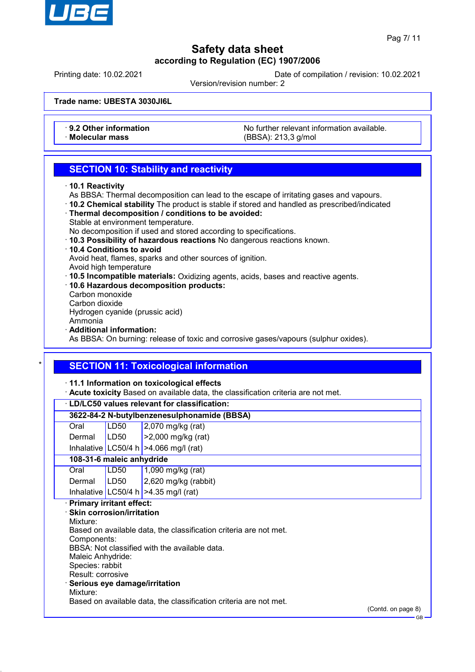

GB

# **Safety data sheet according to Regulation (EC) 1907/2006**

Printing date: 10.02.2021 Date of compilation / revision: 10.02.2021

Version/revision number: 2

**Trade name: UBESTA 3030JI6L**

• **9.2 Other information** No further relevant information available.<br>
Molecular mass **Notecular mass** (RBSA) 213.3 g/mol · **Molecular mass** (BBSA): 213,3 g/mol

## **SECTION 10: Stability and reactivity**

- · **10.1 Reactivity**
- As BBSA: Thermal decomposition can lead to the escape of irritating gases and vapours.
- · **10.2 Chemical stability** The product is stable if stored and handled as prescribed/indicated
- · **Thermal decomposition / conditions to be avoided:**
- Stable at environment temperature.

No decomposition if used and stored according to specifications.

- · **10.3 Possibility of hazardous reactions** No dangerous reactions known.
- · **10.4 Conditions to avoid**

Avoid heat, flames, sparks and other sources of ignition.

- Avoid high temperature
- · **10.5 Incompatible materials:** Oxidizing agents, acids, bases and reactive agents.
- · **10.6 Hazardous decomposition products:** Carbon monoxide
- Carbon dioxide

Hydrogen cyanide (prussic acid)

Ammonia

· **Additional information:**

As BBSA: On burning: release of toxic and corrosive gases/vapours (sulphur oxides).

## **SECTION 11: Toxicological information**

· **11.1 Information on toxicological effects**

· **Acute toxicity** Based on available data, the classification criteria are not met.

| LD/LC50 values relevant for classification:                                      |                  |                                               |                    |  |
|----------------------------------------------------------------------------------|------------------|-----------------------------------------------|--------------------|--|
| 3622-84-2 N-butylbenzenesulphonamide (BBSA)                                      |                  |                                               |                    |  |
| Oral                                                                             | LD <sub>50</sub> | 2,070 mg/kg (rat)                             |                    |  |
| Dermal                                                                           | LD50             | >2,000 mg/kg (rat)                            |                    |  |
|                                                                                  |                  | Inhalative   LC50/4 h   > 4.066 mg/l (rat)    |                    |  |
| 108-31-6 maleic anhydride                                                        |                  |                                               |                    |  |
| Oral                                                                             | LD50             | 1,090 mg/kg (rat)                             |                    |  |
| Dermal                                                                           | LD50             | 2,620 mg/kg (rabbit)                          |                    |  |
|                                                                                  |                  | Inhalative   LC50/4 h   $>4.35$ mg/l (rat)    |                    |  |
| <b>Primary irritant effect:</b>                                                  |                  |                                               |                    |  |
| <b>Skin corrosion/irritation</b>                                                 |                  |                                               |                    |  |
| Mixture:                                                                         |                  |                                               |                    |  |
| Based on available data, the classification criteria are not met.<br>Components: |                  |                                               |                    |  |
|                                                                                  |                  | BBSA: Not classified with the available data. |                    |  |
| Maleic Anhydride:                                                                |                  |                                               |                    |  |
| Species: rabbit                                                                  |                  |                                               |                    |  |
| Result: corrosive                                                                |                  |                                               |                    |  |
| Serious eye damage/irritation                                                    |                  |                                               |                    |  |
| Mixture:                                                                         |                  |                                               |                    |  |
| Based on available data, the classification criteria are not met.                |                  |                                               |                    |  |
|                                                                                  |                  |                                               | (Contd. on page 8) |  |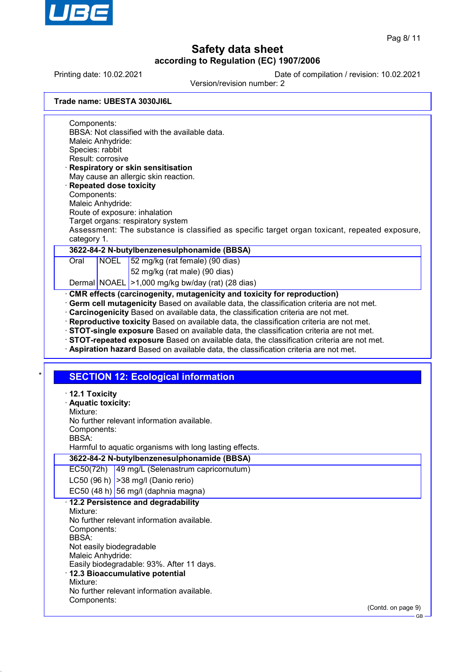

GB

# **Safety data sheet according to Regulation (EC) 1907/2006**

Printing date: 10.02.2021 Date of compilation / revision: 10.02.2021

Version/revision number: 2

|  | Trade name: UBESTA 3030JI6L |
|--|-----------------------------|
|  |                             |

Components: BBSA: Not classified with the available data. Maleic Anhydride: Species: rabbit Result: corrosive · **Respiratory or skin sensitisation**

- May cause an allergic skin reaction. · **Repeated dose toxicity**
- Components:
- Maleic Anhydride:
- Route of exposure: inhalation
- Target organs: respiratory system

Assessment: The substance is classified as specific target organ toxicant, repeated exposure, category 1.

## **3622-84-2 N-butylbenzenesulphonamide (BBSA)**

Oral NOEL 52 mg/kg (rat female) (90 dias)

52 mg/kg (rat male) (90 dias)

Dermal NOAEL > 1,000 mg/kg bw/day (rat) (28 dias)

## · **CMR effects (carcinogenity, mutagenicity and toxicity for reproduction)**

- · **Germ cell mutagenicity** Based on available data, the classification criteria are not met.
- · **Carcinogenicity** Based on available data, the classification criteria are not met.
- · **Reproductive toxicity** Based on available data, the classification criteria are not met.
- · **STOT-single exposure** Based on available data, the classification criteria are not met.
- · **STOT-repeated exposure** Based on available data, the classification criteria are not met.
- · **Aspiration hazard** Based on available data, the classification criteria are not met.

## **SECTION 12: Ecological information**

| $\cdot$ 12.1 Toxicity<br>· Aquatic toxicity:<br>Mixture:<br>No further relevant information available.<br>Components:<br>BBSA:<br>Harmful to aquatic organisms with long lasting effects.                                                                                                                                             |                    |
|---------------------------------------------------------------------------------------------------------------------------------------------------------------------------------------------------------------------------------------------------------------------------------------------------------------------------------------|--------------------|
| 3622-84-2 N-butylbenzenesulphonamide (BBSA)                                                                                                                                                                                                                                                                                           |                    |
| EC50(72h)<br>49 mg/L (Selenastrum capricornutum)                                                                                                                                                                                                                                                                                      |                    |
| LC50 (96 h) $ >38$ mg/l (Danio rerio)                                                                                                                                                                                                                                                                                                 |                    |
| EC50 $(48 h)$ 56 mg/l (daphnia magna)                                                                                                                                                                                                                                                                                                 |                    |
| 12.2 Persistence and degradability<br>Mixture:<br>No further relevant information available.<br>Components:<br><b>BBSA</b><br>Not easily biodegradable<br>Maleic Anhydride:<br>Easily biodegradable: 93%. After 11 days.<br>· 12.3 Bioaccumulative potential<br>Mixture:<br>No further relevant information available.<br>Components: |                    |
|                                                                                                                                                                                                                                                                                                                                       | (Contd. on page 9) |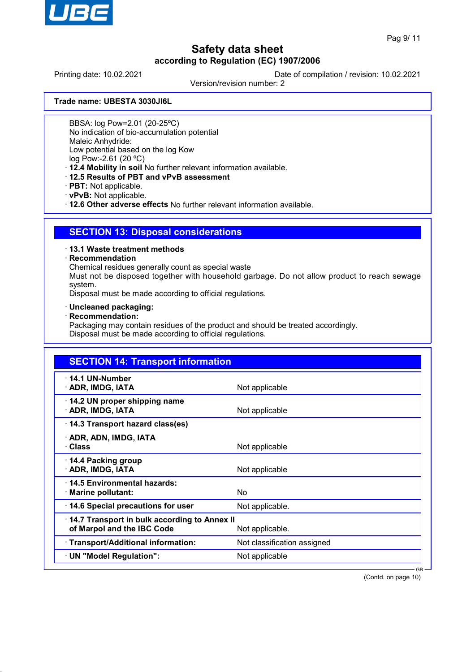

Printing date: 10.02.2021 Date of compilation / revision: 10.02.2021

Version/revision number: 2

**Trade name: UBESTA 3030JI6L**

BBSA: log Pow=2.01 (20-25ºC)

No indication of bio-accumulation potential

Maleic Anhydride:

Low potential based on the log Kow

log Pow:-2.61 (20 ºC)

· **12.4 Mobility in soil** No further relevant information available.

- · **12.5 Results of PBT and vPvB assessment**
- · **PBT:** Not applicable.
- · **vPvB:** Not applicable.

· **12.6 Other adverse effects** No further relevant information available.

## **SECTION 13: Disposal considerations**

### · **13.1 Waste treatment methods**

### · **Recommendation**

Chemical residues generally count as special waste

Must not be disposed together with household garbage. Do not allow product to reach sewage system.

Disposal must be made according to official regulations.

- · **Uncleaned packaging:**
- · **Recommendation:**

Packaging may contain residues of the product and should be treated accordingly. Disposal must be made according to official regulations.

| <b>SECTION 14: Transport information</b>                                                      |                             |        |
|-----------------------------------------------------------------------------------------------|-----------------------------|--------|
| $\cdot$ 14.1 UN-Number<br>· ADR, IMDG, IATA                                                   | Not applicable              |        |
| 14.2 UN proper shipping name<br>· ADR, IMDG, IATA                                             | Not applicable              |        |
| 14.3 Transport hazard class(es)                                                               |                             |        |
| · ADR, ADN, IMDG, IATA<br>· Class                                                             | Not applicable              |        |
| ⋅ 14.4 Packing group<br>· ADR, IMDG, IATA                                                     | Not applicable              |        |
| ⋅14.5 Environmental hazards:<br>· Marine pollutant:                                           | <b>No</b>                   |        |
| 14.6 Special precautions for user                                                             | Not applicable.             |        |
| 14.7 Transport in bulk according to Annex II<br>of Marpol and the IBC Code<br>Not applicable. |                             |        |
| · Transport/Additional information:                                                           | Not classification assigned |        |
| · UN "Model Regulation":                                                                      | Not applicable              |        |
|                                                                                               |                             | $GB -$ |

(Contd. on page 10)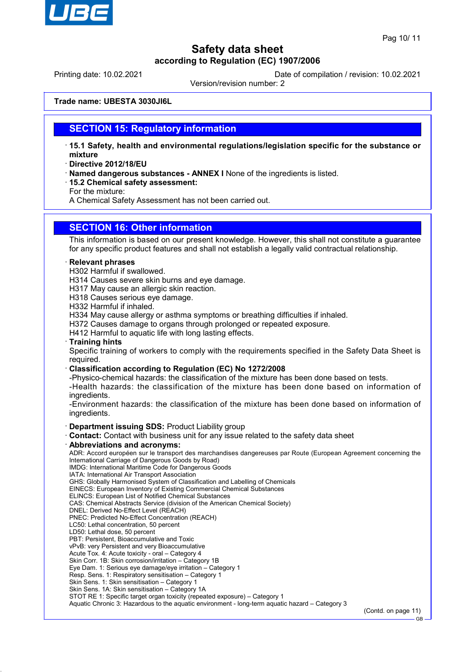

Printing date: 10.02.2021 Date of compilation / revision: 10.02.2021

Version/revision number: 2

**Trade name: UBESTA 3030JI6L**

## **SECTION 15: Regulatory information**

- · **15.1 Safety, health and environmental regulations/legislation specific for the substance or mixture**
- · **Directive 2012/18/EU**
- · **Named dangerous substances ANNEX I** None of the ingredients is listed.
- · **15.2 Chemical safety assessment:**

For the mixture:

A Chemical Safety Assessment has not been carried out.

## **SECTION 16: Other information**

This information is based on our present knowledge. However, this shall not constitute a guarantee for any specific product features and shall not establish a legally valid contractual relationship.

#### · **Relevant phrases**

- H302 Harmful if swallowed.
- H314 Causes severe skin burns and eye damage.
- H317 May cause an allergic skin reaction.
- H318 Causes serious eye damage.

H332 Harmful if inhaled.

H334 May cause allergy or asthma symptoms or breathing difficulties if inhaled.

H372 Causes damage to organs through prolonged or repeated exposure.

- H412 Harmful to aquatic life with long lasting effects.
- · **Training hints**

Specific training of workers to comply with the requirements specified in the Safety Data Sheet is required.

· **Classification according to Regulation (EC) No 1272/2008**

-Physico-chemical hazards: the classification of the mixture has been done based on tests.

-Health hazards: the classification of the mixture has been done based on information of ingredients.

-Environment hazards: the classification of the mixture has been done based on information of ingredients.

#### · **Department issuing SDS:** Product Liability group

- · **Contact:** Contact with business unit for any issue related to the safety data sheet
- · **Abbreviations and acronyms:**

ADR: Accord européen sur le transport des marchandises dangereuses par Route (European Agreement concerning the International Carriage of Dangerous Goods by Road)

IMDG: International Maritime Code for Dangerous Goods

- IATA: International Air Transport Association GHS: Globally Harmonised System of Classification and Labelling of Chemicals
- EINECS: European Inventory of Existing Commercial Chemical Substances
- ELINCS: European List of Notified Chemical Substances
- CAS: Chemical Abstracts Service (division of the American Chemical Society)
- DNEL: Derived No-Effect Level (REACH)
- PNEC: Predicted No-Effect Concentration (REACH)
- LC50: Lethal concentration, 50 percent
- LD50: Lethal dose, 50 percent
- PBT: Persistent, Bioaccumulative and Toxic
- vPvB: very Persistent and very Bioaccumulative
- Acute Tox. 4: Acute toxicity oral Category 4
- Skin Corr. 1B: Skin corrosion/irritation Category 1B
- Eye Dam. 1: Serious eye damage/eye irritation Category 1
- Resp. Sens. 1: Respiratory sensitisation Category 1
- Skin Sens. 1: Skin sensitisation Category 1
- Skin Sens. 1A: Skin sensitisation Category 1A

STOT RE 1: Specific target organ toxicity (repeated exposure) – Category 1

Aquatic Chronic 3: Hazardous to the aquatic environment - long-term aquatic hazard – Category 3

(Contd. on page 11)